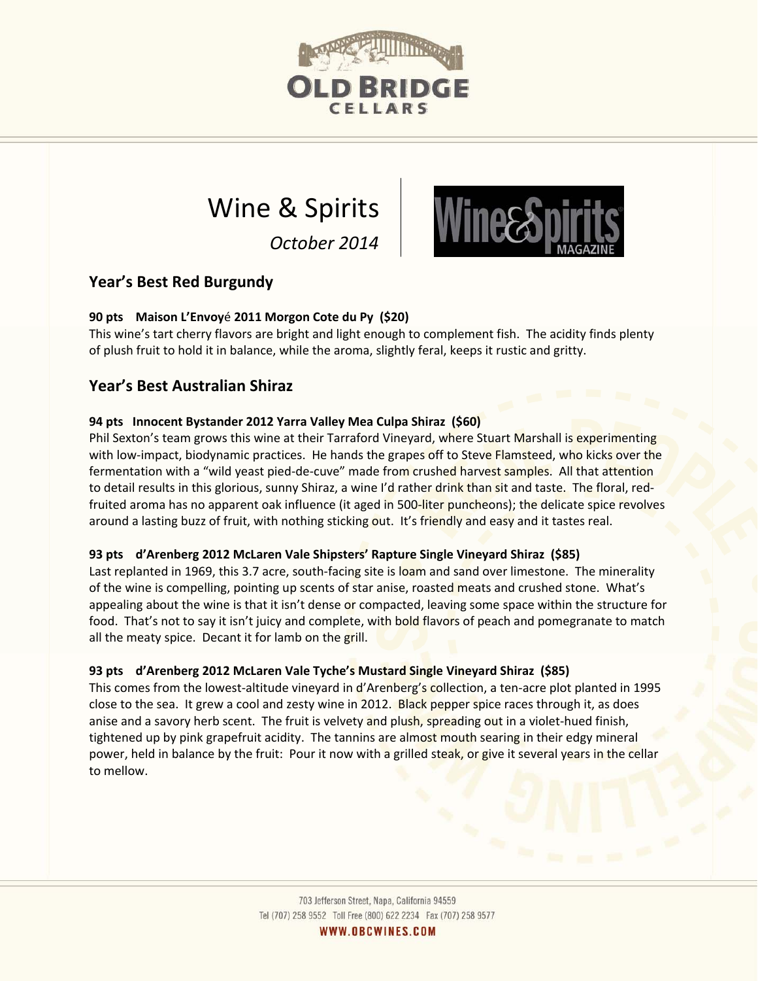

# Wine & Spirits

*October 2014*



# **Year's Best Red Burgundy**

# **90 pts Maison L'Envoy**é **2011 Morgon Cote du Py (\$20)**

This wine's tart cherry flavors are bright and light enough to complement fish. The acidity finds plenty of plush fruit to hold it in balance, while the aroma, slightly feral, keeps it rustic and gritty.

# **Year's Best Australian Shiraz**

# **94 pts Innocent Bystander 2012 Yarra Valley Mea Culpa Shiraz (\$60)**

Phil Sexton's team grows this wine at their Tarraford Vineyard, where Stuart Marshall is experimenting with low-impact, biodynamic practices. He hands the grapes off to Steve Flamsteed, who kicks over the fermentation with a "wild yeast pied-de-cuve" made from crushed harvest samples. All that attention to detail results in this glorious, sunny Shiraz, a wine I'd rather drink than sit and taste. The floral, redfruited aroma has no apparent oak influence (it aged in 500-liter puncheons); the delicate spice revolves around a lasting buzz of fruit, with nothing sticking out. It's friendly and easy and it tastes real.

# **93 pts d'Arenberg 2012 McLaren Vale Shipsters' Rapture Single Vineyard Shiraz (\$85)**

Last replanted in 1969, this 3.7 acre, south-facing site is loam and sand over limestone. The minerality of the wine is compelling, pointing up scents of star anise, roasted meats and crushed stone. What's appealing about the wine is that it isn't dense or compacted, leaving some space within the structure for food. That's not to say it isn't juicy and complete, with bold flavors of peach and pomegranate to match all the meaty spice. Decant it for lamb on the grill.

# **93 pts d'Arenberg 2012 McLaren Vale Tyche's Mustard Single Vineyard Shiraz (\$85)**

This comes from the lowest-altitude vineyard in d'Arenberg's collection, a ten-acre plot planted in 1995 close to the sea. It grew a cool and zesty wine in 2012. Black pepper spice races through it, as does anise and a savory herb scent. The fruit is velvety and plush, spreading out in a violet-hued finish, tightened up by pink grapefruit acidity. The tannins are almost mouth searing in their edgy mineral power, held in balance by the fruit: Pour it now with a grilled steak, or give it several years in the cellar to mellow.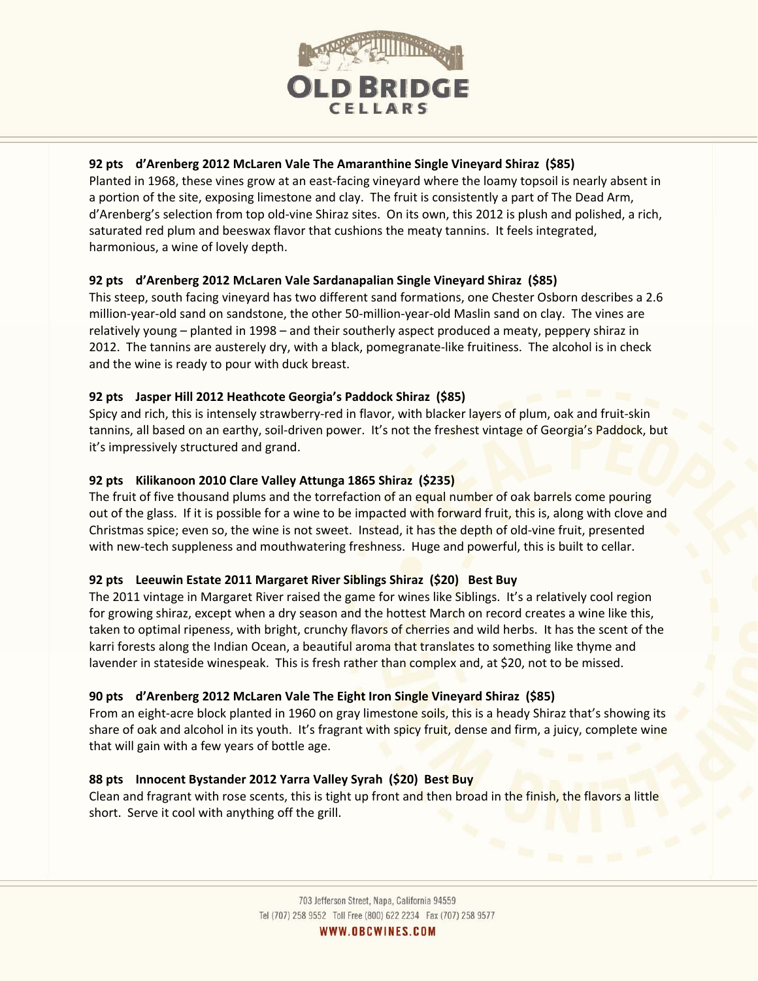

#### **92 pts d'Arenberg 2012 McLaren Vale The Amaranthine Single Vineyard Shiraz (\$85)**

Planted in 1968, these vines grow at an east-facing vineyard where the loamy topsoil is nearly absent in a portion of the site, exposing limestone and clay. The fruit is consistently a part of The Dead Arm, d'Arenberg's selection from top old‐vine Shiraz sites. On its own, this 2012 is plush and polished, a rich, saturated red plum and beeswax flavor that cushions the meaty tannins. It feels integrated, harmonious, a wine of lovely depth.

#### **92 pts d'Arenberg 2012 McLaren Vale Sardanapalian Single Vineyard Shiraz (\$85)**

This steep, south facing vineyard has two different sand formations, one Chester Osborn describes a 2.6 million‐year‐old sand on sandstone, the other 50‐million‐year‐old Maslin sand on clay. The vines are relatively young – planted in 1998 – and their southerly aspect produced a meaty, peppery shiraz in 2012. The tannins are austerely dry, with a black, pomegranate-like fruitiness. The alcohol is in check and the wine is ready to pour with duck breast.

#### **92 pts Jasper Hill 2012 Heathcote Georgia's Paddock Shiraz (\$85)**

Spicy and rich, this is intensely strawberry‐red in flavor, with blacker layers of plum, oak and fruit‐skin tannins, all based on an earthy, soil-driven power. It's not the freshest vintage of Georgia's Paddock, but it's impressively structured and grand.

#### **92 pts Kilikanoon 2010 Clare Valley Attunga 1865 Shiraz (\$235)**

The fruit of five thousand plums and the torrefaction of an equal number of oak barrels come pouring out of the glass. If it is possible for a wine to be impacted with forward fruit, this is, along with clove and Christmas spice; even so, the wine is not sweet. Instead, it has the depth of old‐vine fruit, presented with new-tech suppleness and mouthwatering freshness. Huge and powerful, this is built to cellar.

#### **92 pts Leeuwin Estate 2011 Margaret River Siblings Shiraz (\$20) Best Buy**

The 2011 vintage in Margaret River raised the game for wines like Siblings. It's a relatively cool region for growing shiraz, except when a dry season and the hottest March on record creates a wine like this, taken to optimal ripeness, with bright, crunchy flavors of cherries and wild herbs. It has the scent of the karri forests along the Indian Ocean, a beautiful aroma that translates to something like thyme and lavender in stateside winespeak. This is fresh rather than complex and, at \$20, not to be missed.

#### **90 pts d'Arenberg 2012 McLaren Vale The Eight Iron Single Vineyard Shiraz (\$85)**

From an eight-acre block planted in 1960 on gray limestone soils, this is a heady Shiraz that's showing its share of oak and alcohol in its youth. It's fragrant with spicy fruit, dense and firm, a juicy, complete wine that will gain with a few years of bottle age.

#### **88 pts Innocent Bystander 2012 Yarra Valley Syrah (\$20) Best Buy**

Clean and fragrant with rose scents, this is tight up front and then broad in the finish, the flavors a little short. Serve it cool with anything off the grill.

WWW.OBCWINES.COM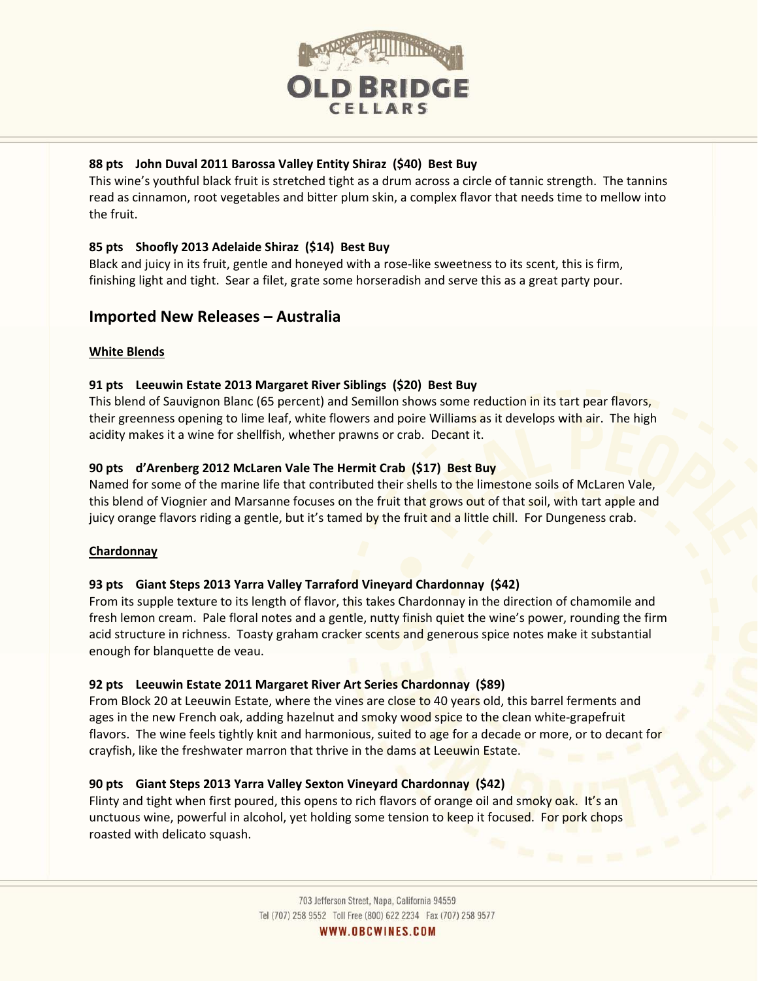

#### **88 pts John Duval 2011 Barossa Valley Entity Shiraz (\$40) Best Buy**

This wine's youthful black fruit is stretched tight as a drum across a circle of tannic strength. The tannins read as cinnamon, root vegetables and bitter plum skin, a complex flavor that needs time to mellow into the fruit.

#### **85 pts Shoofly 2013 Adelaide Shiraz (\$14) Best Buy**

Black and juicy in its fruit, gentle and honeyed with a rose-like sweetness to its scent, this is firm, finishing light and tight. Sear a filet, grate some horseradish and serve this as a great party pour.

# **Imported New Releases – Australia**

#### **White Blends**

#### **91 pts Leeuwin Estate 2013 Margaret River Siblings (\$20) Best Buy**

This blend of Sauvignon Blanc (65 percent) and Semillon shows some reduction in its tart pear flavors, their greenness opening to lime leaf, white flowers and poire Williams as it develops with air. The high acidity makes it a wine for shellfish, whether prawns or crab. Decant it.

#### **90 pts d'Arenberg 2012 McLaren Vale The Hermit Crab (\$17) Best Buy**

Named for some of the marine life that contributed their shells to the limestone soils of McLaren Vale, this blend of Viognier and Marsanne focuses on the fruit that grows out of that soil, with tart apple and juicy orange flavors riding a gentle, but it's tamed by the fruit and a little chill. For Dungeness crab.

#### **Chardonnay**

# **93 pts Giant Steps 2013 Yarra Valley Tarraford Vineyard Chardonnay (\$42)**

From its supple texture to its length of flavor, this takes Chardonnay in the direction of chamomile and fresh lemon cream. Pale floral notes and a gentle, nutty finish quiet the wine's power, rounding the firm acid structure in richness. Toasty graham cracker scents and generous spice notes make it substantial enough for blanquette de veau.

#### **92 pts Leeuwin Estate 2011 Margaret River Art Series Chardonnay (\$89)**

From Block 20 at Leeuwin Estate, where the vines are close to 40 years old, this barrel ferments and ages in the new French oak, adding hazelnut and smoky wood spice to the clean white-grapefruit flavors. The wine feels tightly knit and harmonious, suited to age for a decade or more, or to decant for crayfish, like the freshwater marron that thrive in the dams at Leeuwin Estate.

# **90 pts Giant Steps 2013 Yarra Valley Sexton Vineyard Chardonnay (\$42)**

Flinty and tight when first poured, this opens to rich flavors of orange oil and smoky oak. It's an unctuous wine, powerful in alcohol, yet holding some tension to keep it focused. For pork chops roasted with delicato squash.

> 703 Jefferson Street, Napa, California 94559 Tel (707) 258 9552 Toll Free (800) 622 2234 Fax (707) 258 9577

WWW.OBCWINES.COM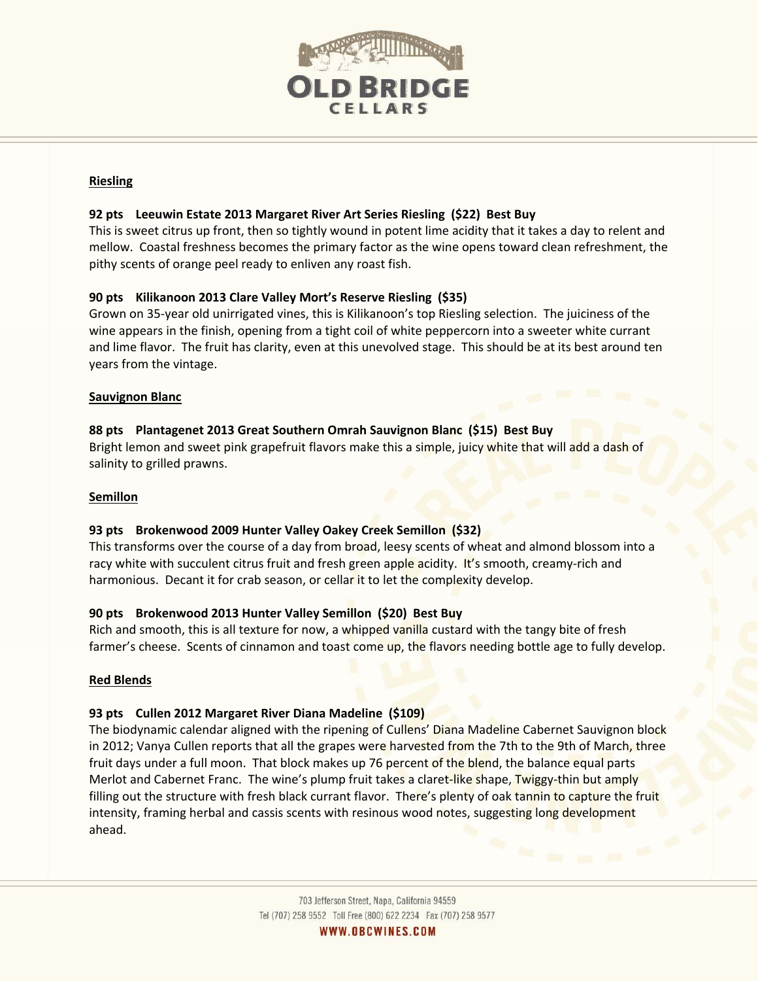

#### **Riesling**

#### **92 pts Leeuwin Estate 2013 Margaret River Art Series Riesling (\$22) Best Buy**

This is sweet citrus up front, then so tightly wound in potent lime acidity that it takes a day to relent and mellow. Coastal freshness becomes the primary factor as the wine opens toward clean refreshment, the pithy scents of orange peel ready to enliven any roast fish.

#### **90 pts Kilikanoon 2013 Clare Valley Mort's Reserve Riesling (\$35)**

Grown on 35‐year old unirrigated vines, this is Kilikanoon's top Riesling selection. The juiciness of the wine appears in the finish, opening from a tight coil of white peppercorn into a sweeter white currant and lime flavor. The fruit has clarity, even at this unevolved stage. This should be at its best around ten years from the vintage.

#### **Sauvignon Blanc**

#### **88 pts Plantagenet 2013 Great Southern Omrah Sauvignon Blanc (\$15) Best Buy**

Bright lemon and sweet pink grapefruit flavors make this a simple, juicy white that will add a dash of salinity to grilled prawns.

#### **Semillon**

#### **93 pts Brokenwood 2009 Hunter Valley Oakey Creek Semillon (\$32)**

This transforms over the course of a day from broad, leesy scents of wheat and almond blossom into a racy white with succulent citrus fruit and fresh green apple acidity. It's smooth, creamy-rich and harmonious. Decant it for crab season, or cellar it to let the complexity develop.

#### **90 pts Brokenwood 2013 Hunter Valley Semillon (\$20) Best Buy**

Rich and smooth, this is all texture for now, a whipped vanilla custard with the tangy bite of fresh farmer's cheese. Scents of cinnamon and toast come up, the flavors needing bottle age to fully develop.

#### **Red Blends**

#### **93 pts Cullen 2012 Margaret River Diana Madeline (\$109)**

The biodynamic calendar aligned with the ripening of Cullens' Diana Madeline Cabernet Sauvignon block in 2012; Vanya Cullen reports that all the grapes were harvested from the 7th to the 9th of March, three fruit days under a full moon. That block makes up 76 percent of the blend, the balance equal parts Merlot and Cabernet Franc. The wine's plump fruit takes a claret-like shape, Twiggy-thin but amply filling out the structure with fresh black currant flavor. There's plenty of oak tannin to capture the fruit intensity, framing herbal and cassis scents with resinous wood notes, suggesting long development ahead.

WWW.OBCWINES.COM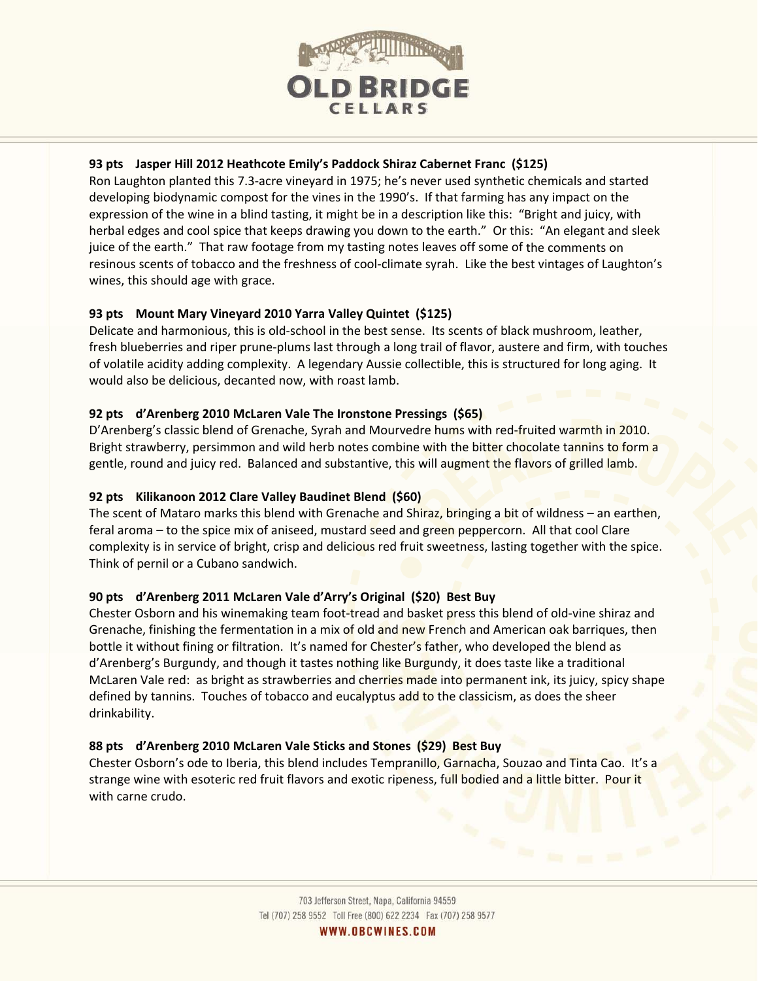

#### **93 pts Jasper Hill 2012 Heathcote Emily's Paddock Shiraz Cabernet Franc (\$125)**

Ron Laughton planted this 7.3‐acre vineyard in 1975; he's never used synthetic chemicals and started developing biodynamic compost for the vines in the 1990's. If that farming has any impact on the expression of the wine in a blind tasting, it might be in a description like this: "Bright and juicy, with herbal edges and cool spice that keeps drawing you down to the earth." Or this: "An elegant and sleek juice of the earth." That raw footage from my tasting notes leaves off some of the comments on resinous scents of tobacco and the freshness of cool‐climate syrah. Like the best vintages of Laughton's wines, this should age with grace.

#### **93 pts Mount Mary Vineyard 2010 Yarra Valley Quintet (\$125)**

Delicate and harmonious, this is old-school in the best sense. Its scents of black mushroom, leather, fresh blueberries and riper prune‐plums last through a long trail of flavor, austere and firm, with touches of volatile acidity adding complexity. A legendary Aussie collectible, this is structured for long aging. It would also be delicious, decanted now, with roast lamb.

#### **92 pts d'Arenberg 2010 McLaren Vale The Ironstone Pressings (\$65)**

D'Arenberg's classic blend of Grenache, Syrah and Mourvedre hums with red-fruited warmth in 2010. Bright strawberry, persimmon and wild herb notes combine with the bitter chocolate tannins to form a gentle, round and juicy red. Balanced and substantive, this will augment the flavors of grilled lamb.

### **92 pts Kilikanoon 2012 Clare Valley Baudinet Blend (\$60)**

The scent of Mataro marks this blend with Grenache and Shiraz, bringing a bit of wildness – an earthen, feral aroma – to the spice mix of aniseed, mustard seed and green peppercorn. All that cool Clare complexity is in service of bright, crisp and delicious red fruit sweetness, lasting together with the spice. Think of pernil or a Cubano sandwich.

# **90 pts d'Arenberg 2011 McLaren Vale d'Arry's Original (\$20) Best Buy**

Chester Osborn and his winemaking team foot-tread and basket press this blend of old-vine shiraz and Grenache, finishing the fermentation in a mix of old and new French and American oak barriques, then bottle it without fining or filtration. It's named for Chester's father, who developed the blend as d'Arenberg's Burgundy, and though it tastes nothing like Burgundy, it does taste like a traditional McLaren Vale red: as bright as strawberries and cherries made into permanent ink, its juicy, spicy shape defined by tannins. Touches of tobacco and eucalyptus add to the classicism, as does the sheer drinkability.

# **88 pts d'Arenberg 2010 McLaren Vale Sticks and Stones (\$29) Best Buy**

Chester Osborn's ode to Iberia, this blend includes Tempranillo, Garnacha, Souzao and Tinta Cao. It's a strange wine with esoteric red fruit flavors and exotic ripeness, full bodied and a little bitter. Pour it with carne crudo.